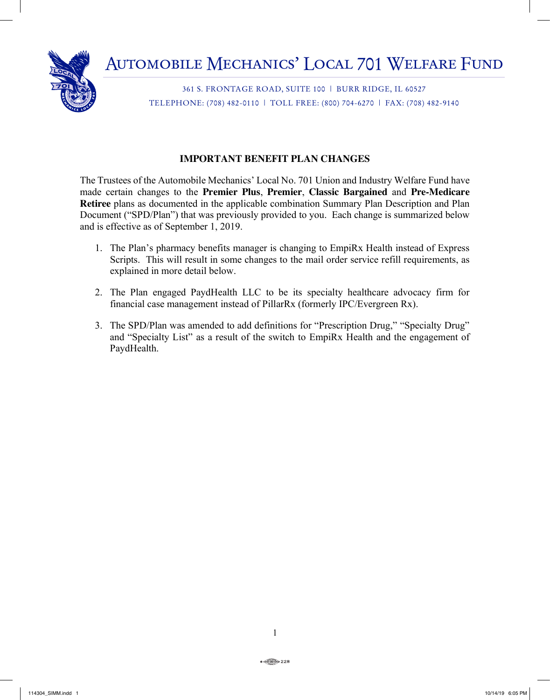

361 S. FRONTAGE ROAD, SUITE 100 | BURR RIDGE, IL 60527 TELEPHONE: (708) 482-0110 | TOLL FREE: (800) 704-6270 | FAX: (708) 482-9140

# **IMPORTANT BENEFIT PLAN CHANGES**

The Trustees of the Automobile Mechanics' Local No. 701 Union and Industry Welfare Fund have made certain changes to the **Premier Plus**, **Premier**, **Classic Bargained** and **Pre-Medicare Retiree** plans as documented in the applicable combination Summary Plan Description and Plan Document ("SPD/Plan") that was previously provided to you. Each change is summarized below and is effective as of September 1, 2019.

- 1. The Plan's pharmacy benefits manager is changing to EmpiRx Health instead of Express Scripts. This will result in some changes to the mail order service refill requirements, as explained in more detail below.
- 2. The Plan engaged PaydHealth LLC to be its specialty healthcare advocacy firm for financial case management instead of PillarRx (formerly IPC/Evergreen Rx).
- 3. The SPD/Plan was amended to add definitions for "Prescription Drug," "Specialty Drug" and "Specialty List" as a result of the switch to EmpiRx Health and the engagement of PaydHealth.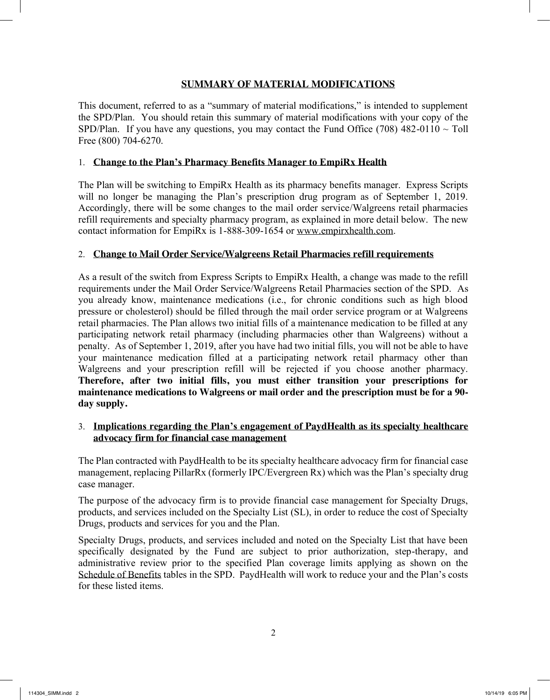## **SUMMARY OF MATERIAL MODIFICATIONS**

This document, referred to as a "summary of material modifications," is intended to supplement the SPD/Plan. You should retain this summary of material modifications with your copy of the SPD/Plan. If you have any questions, you may contact the Fund Office (708) 482-0110  $\sim$  Toll Free (800) 704-6270.

### 1. **Change to the Plan's Pharmacy Benefits Manager to EmpiRx Health**

The Plan will be switching to EmpiRx Health as its pharmacy benefits manager. Express Scripts will no longer be managing the Plan's prescription drug program as of September 1, 2019. Accordingly, there will be some changes to the mail order service/Walgreens retail pharmacies refill requirements and specialty pharmacy program, as explained in more detail below. The new contact information for EmpiRx is 1-888-309-1654 or www.empirxhealth.com.

### 2. **Change to Mail Order Service/Walgreens Retail Pharmacies refill requirements**

As a result of the switch from Express Scripts to EmpiRx Health, a change was made to the refill requirements under the Mail Order Service/Walgreens Retail Pharmacies section of the SPD. As you already know, maintenance medications (i.e., for chronic conditions such as high blood pressure or cholesterol) should be filled through the mail order service program or at Walgreens retail pharmacies. The Plan allows two initial fills of a maintenance medication to be filled at any participating network retail pharmacy (including pharmacies other than Walgreens) without a penalty. As of September 1, 2019, after you have had two initial fills, you will not be able to have your maintenance medication filled at a participating network retail pharmacy other than Walgreens and your prescription refill will be rejected if you choose another pharmacy. **Therefore, after two initial fills, you must either transition your prescriptions for maintenance medications to Walgreens or mail order and the prescription must be for a 90 day supply.**

### 3. **Implications regarding the Plan's engagement of PaydHealth as its specialty healthcare advocacy firm for financial case management**

The Plan contracted with PaydHealth to be its specialty healthcare advocacy firm for financial case management, replacing PillarRx (formerly IPC/Evergreen Rx) which was the Plan's specialty drug case manager.

The purpose of the advocacy firm is to provide financial case management for Specialty Drugs, products, and services included on the Specialty List (SL), in order to reduce the cost of Specialty Drugs, products and services for you and the Plan.

Specialty Drugs, products, and services included and noted on the Specialty List that have been specifically designated by the Fund are subject to prior authorization, step-therapy, and administrative review prior to the specified Plan coverage limits applying as shown on the Schedule of Benefits tables in the SPD. PaydHealth will work to reduce your and the Plan's costs for these listed items.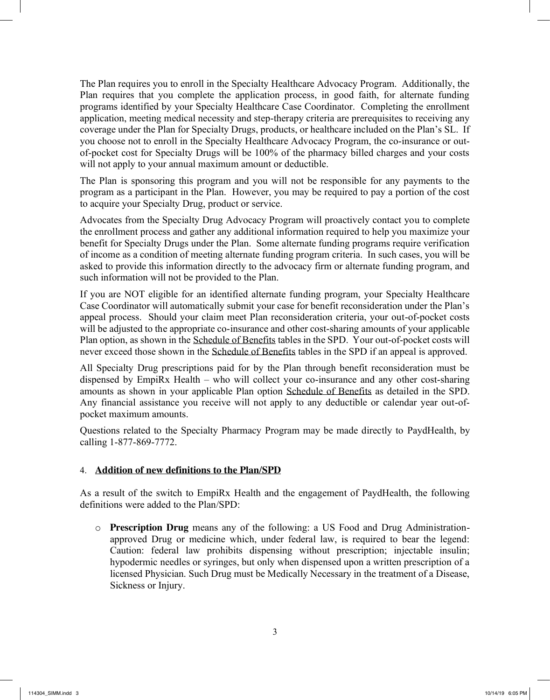The Plan requires you to enroll in the Specialty Healthcare Advocacy Program. Additionally, the Plan requires that you complete the application process, in good faith, for alternate funding programs identified by your Specialty Healthcare Case Coordinator. Completing the enrollment application, meeting medical necessity and step-therapy criteria are prerequisites to receiving any coverage under the Plan for Specialty Drugs, products, or healthcare included on the Plan's SL. If you choose not to enroll in the Specialty Healthcare Advocacy Program, the co-insurance or outof-pocket cost for Specialty Drugs will be 100% of the pharmacy billed charges and your costs will not apply to your annual maximum amount or deductible.

The Plan is sponsoring this program and you will not be responsible for any payments to the program as a participant in the Plan. However, you may be required to pay a portion of the cost to acquire your Specialty Drug, product or service.

Advocates from the Specialty Drug Advocacy Program will proactively contact you to complete the enrollment process and gather any additional information required to help you maximize your benefit for Specialty Drugs under the Plan. Some alternate funding programs require verification of income as a condition of meeting alternate funding program criteria. In such cases, you will be asked to provide this information directly to the advocacy firm or alternate funding program, and such information will not be provided to the Plan.

If you are NOT eligible for an identified alternate funding program, your Specialty Healthcare Case Coordinator will automatically submit your case for benefit reconsideration under the Plan's appeal process. Should your claim meet Plan reconsideration criteria, your out-of-pocket costs will be adjusted to the appropriate co-insurance and other cost-sharing amounts of your applicable Plan option, as shown in the Schedule of Benefits tables in the SPD. Your out-of-pocket costs will never exceed those shown in the Schedule of Benefits tables in the SPD if an appeal is approved.

All Specialty Drug prescriptions paid for by the Plan through benefit reconsideration must be dispensed by EmpiRx Health – who will collect your co-insurance and any other cost-sharing amounts as shown in your applicable Plan option Schedule of Benefits as detailed in the SPD. Any financial assistance you receive will not apply to any deductible or calendar year out-ofpocket maximum amounts.

Questions related to the Specialty Pharmacy Program may be made directly to PaydHealth, by calling 1-877-869-7772.

## 4. **Addition of new definitions to the Plan/SPD**

As a result of the switch to EmpiRx Health and the engagement of PaydHealth, the following definitions were added to the Plan/SPD:

o **Prescription Drug** means any of the following: a US Food and Drug Administrationapproved Drug or medicine which, under federal law, is required to bear the legend: Caution: federal law prohibits dispensing without prescription; injectable insulin; hypodermic needles or syringes, but only when dispensed upon a written prescription of a licensed Physician. Such Drug must be Medically Necessary in the treatment of a Disease, Sickness or Injury.